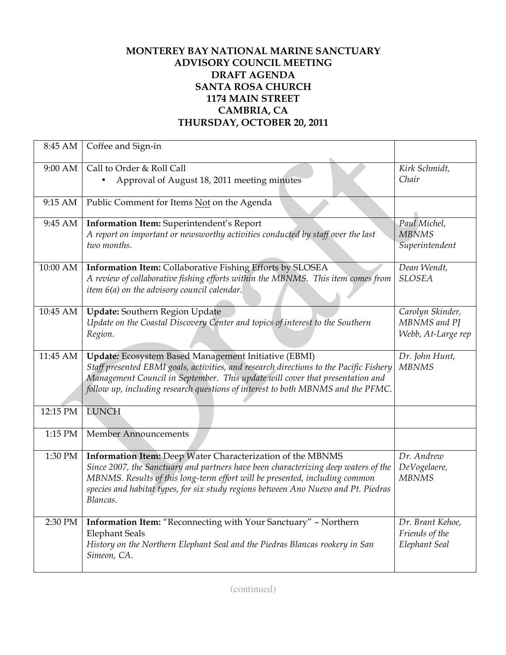## **MONTEREY BAY NATIONAL MARINE SANCTUARY ADVISORY COUNCIL MEETING DRAFT AGENDA SANTA ROSA CHURCH 1174 MAIN STREET CAMBRIA, CA THURSDAY, OCTOBER 20, 2011**

| 8:45 AM   | Coffee and Sign-in                                                                                                                                                                                                                                                                                                                |                                                        |
|-----------|-----------------------------------------------------------------------------------------------------------------------------------------------------------------------------------------------------------------------------------------------------------------------------------------------------------------------------------|--------------------------------------------------------|
| $9:00$ AM | Call to Order & Roll Call<br>Approval of August 18, 2011 meeting minutes                                                                                                                                                                                                                                                          | Kirk Schmidt,<br>Chair                                 |
| 9:15 AM   | Public Comment for Items Not on the Agenda                                                                                                                                                                                                                                                                                        |                                                        |
| 9:45 AM   | Information Item: Superintendent's Report<br>A report on important or newsworthy activities conducted by staff over the last<br>two months.                                                                                                                                                                                       | Paul Michel,<br><b>MBNMS</b><br>Superintendent         |
| 10:00 AM  | Information Item: Collaborative Fishing Efforts by SLOSEA<br>A review of collaborative fishing efforts within the MBNMS. This item comes from<br>item 6(a) on the advisory council calendar.                                                                                                                                      | Dean Wendt,<br><b>SLOSEA</b>                           |
| 10:45 AM  | Update: Southern Region Update<br>Update on the Coastal Discovery Center and topics of interest to the Southern<br>Region.                                                                                                                                                                                                        | Carolyn Skinder,<br>MBNMS and PJ<br>Webb, At-Large rep |
| 11:45 AM  | Update: Ecosystem Based Management Initiative (EBMI)<br>Staff presented EBMI goals, activities, and research directions to the Pacific Fishery<br>Management Council in September. This update will cover that presentation and<br>follow up, including research questions of interest to both MBNMS and the PFMC.                | Dr. John Hunt,<br><b>MBNMS</b>                         |
| 12:15 PM  | <b>LUNCH</b>                                                                                                                                                                                                                                                                                                                      |                                                        |
| 1:15 PM   | <b>Member Announcements</b>                                                                                                                                                                                                                                                                                                       |                                                        |
| 1:30 PM   | Information Item: Deep Water Characterization of the MBNMS<br>Since 2007, the Sanctuary and partners have been characterizing deep waters of the<br>MBNMS. Results of this long-term effort will be presented, including common<br>species and habitat types, for six study regions between Ano Nuevo and Pt. Piedras<br>Blancas. | Dr. Andrew<br>DeVogelaere,<br><b>MBNMS</b>             |
| 2:30 PM   | Information Item: "Reconnecting with Your Sanctuary" - Northern<br><b>Elephant Seals</b><br>History on the Northern Elephant Seal and the Piedras Blancas rookery in San<br>Simeon, CA.                                                                                                                                           | Dr. Brant Kehoe,<br>Friends of the<br>Elephant Seal    |